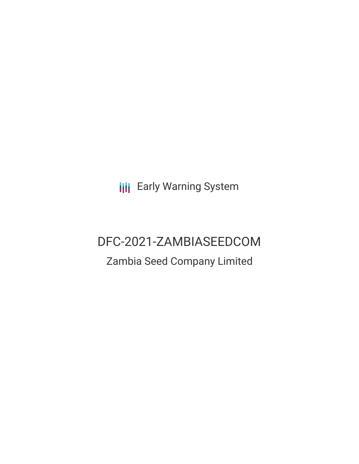**III** Early Warning System

# DFC-2021-ZAMBIASEEDCOM

## Zambia Seed Company Limited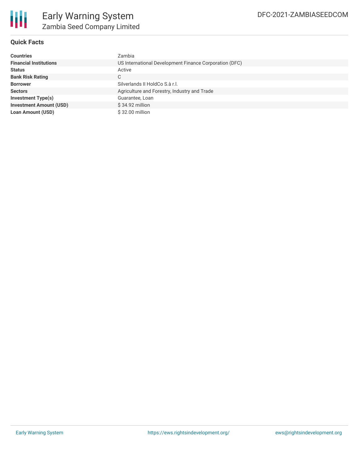

### **Quick Facts**

| <b>Countries</b>               | Zambia                                                 |  |  |  |
|--------------------------------|--------------------------------------------------------|--|--|--|
| <b>Financial Institutions</b>  | US International Development Finance Corporation (DFC) |  |  |  |
| <b>Status</b>                  | Active                                                 |  |  |  |
| <b>Bank Risk Rating</b>        | C                                                      |  |  |  |
| <b>Borrower</b>                | Silverlands II HoldCo S.à r.l.                         |  |  |  |
| <b>Sectors</b>                 | Agriculture and Forestry, Industry and Trade           |  |  |  |
| <b>Investment Type(s)</b>      | Guarantee, Loan                                        |  |  |  |
| <b>Investment Amount (USD)</b> | $$34.92$ million                                       |  |  |  |
| <b>Loan Amount (USD)</b>       | \$32.00 million                                        |  |  |  |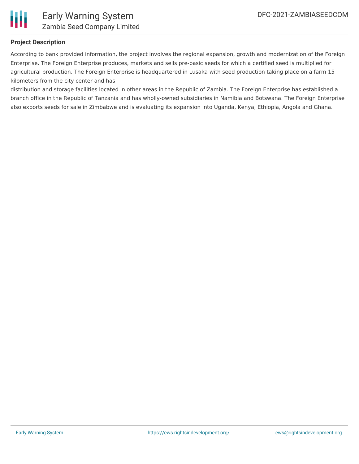

### **Project Description**

According to bank provided information, the project involves the regional expansion, growth and modernization of the Foreign Enterprise. The Foreign Enterprise produces, markets and sells pre-basic seeds for which a certified seed is multiplied for agricultural production. The Foreign Enterprise is headquartered in Lusaka with seed production taking place on a farm 15 kilometers from the city center and has

distribution and storage facilities located in other areas in the Republic of Zambia. The Foreign Enterprise has established a branch office in the Republic of Tanzania and has wholly-owned subsidiaries in Namibia and Botswana. The Foreign Enterprise also exports seeds for sale in Zimbabwe and is evaluating its expansion into Uganda, Kenya, Ethiopia, Angola and Ghana.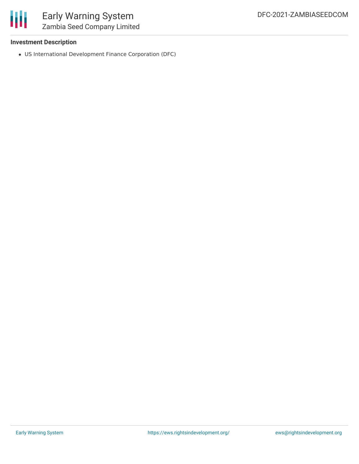

### Early Warning System Zambia Seed Company Limited

### **Investment Description**

US International Development Finance Corporation (DFC)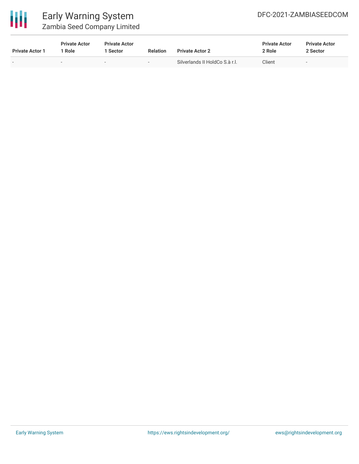

### Early Warning System Zambia Seed Company Limited

| <b>Private Actor 1</b> | <b>Private Actor</b><br>' Role | <b>Private Actor</b><br>1 Sector | <b>Relation</b> | <b>Private Actor 2</b>         | <b>Private Actor</b><br>2 Role | <b>Private Actor</b><br>2 Sector |
|------------------------|--------------------------------|----------------------------------|-----------------|--------------------------------|--------------------------------|----------------------------------|
| $\,$                   | $\overline{\phantom{0}}$       | $\overline{\phantom{0}}$         | $\,$            | Silverlands II HoldCo S.à r.l. | Client                         | $\overline{\phantom{m}}$         |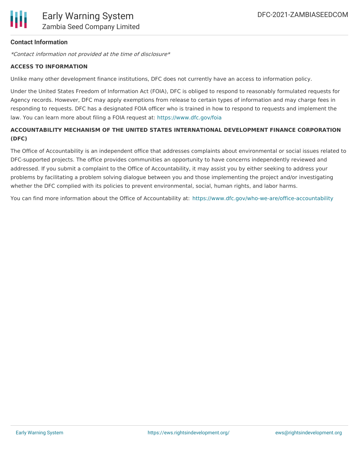

### **Contact Information**

\*Contact information not provided at the time of disclosure\*

#### **ACCESS TO INFORMATION**

Unlike many other development finance institutions, DFC does not currently have an access to information policy.

Under the United States Freedom of Information Act (FOIA), DFC is obliged to respond to reasonably formulated requests for Agency records. However, DFC may apply exemptions from release to certain types of information and may charge fees in responding to requests. DFC has a designated FOIA officer who is trained in how to respond to requests and implement the law. You can learn more about filing a FOIA request at: <https://www.dfc.gov/foia>

### **ACCOUNTABILITY MECHANISM OF THE UNITED STATES INTERNATIONAL DEVELOPMENT FINANCE CORPORATION (DFC)**

The Office of Accountability is an independent office that addresses complaints about environmental or social issues related to DFC-supported projects. The office provides communities an opportunity to have concerns independently reviewed and addressed. If you submit a complaint to the Office of Accountability, it may assist you by either seeking to address your problems by facilitating a problem solving dialogue between you and those implementing the project and/or investigating whether the DFC complied with its policies to prevent environmental, social, human rights, and labor harms.

You can find more information about the Office of Accountability at: <https://www.dfc.gov/who-we-are/office-accountability>